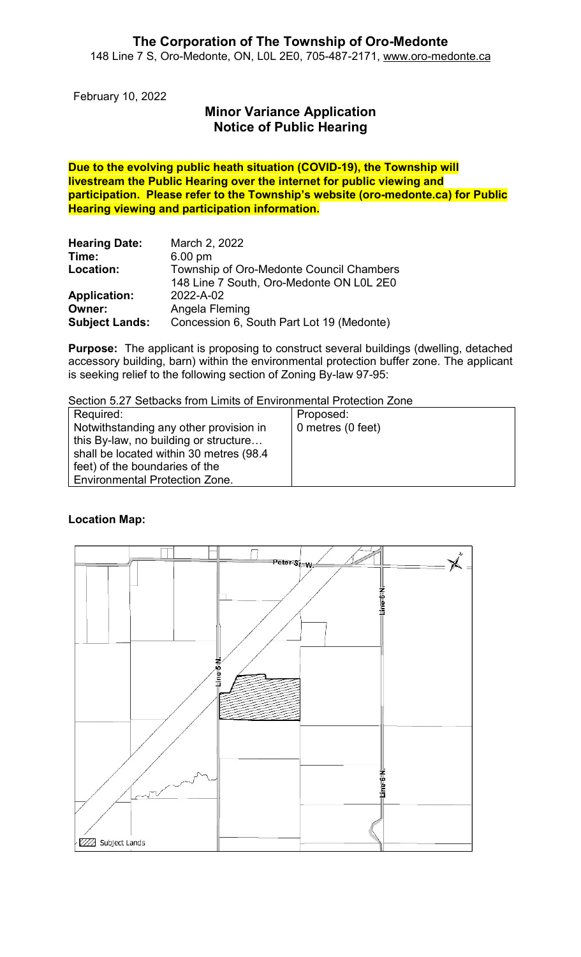February 10, 2022

# Minor Variance Application Notice of Public Hearing

Due to the evolving public heath situation (COVID-19), the Township will livestream the Public Hearing over the internet for public viewing and participation. Please refer to the Township's website (oro-medonte.ca) for Public Hearing viewing and participation information.

| <b>Hearing Date:</b>  | March 2, 2022                             |
|-----------------------|-------------------------------------------|
| Time:                 | $6.00$ pm                                 |
| Location:             | Township of Oro-Medonte Council Chambers  |
|                       | 148 Line 7 South, Oro-Medonte ON L0L 2E0  |
| <b>Application:</b>   | 2022-A-02                                 |
| Owner:                | Angela Fleming                            |
| <b>Subject Lands:</b> | Concession 6, South Part Lot 19 (Medonte) |

Purpose: The applicant is proposing to construct several buildings (dwelling, detached accessory building, barn) within the environmental protection buffer zone. The applicant is seeking relief to the following section of Zoning By-law 97-95:

Section 5.27 Setbacks from Limits of Environmental Protection Zone

| Required:                                | Proposed:         |
|------------------------------------------|-------------------|
| Notwithstanding any other provision in   | 0 metres (0 feet) |
| this By-law, no building or structure    |                   |
| shall be located within 30 metres (98.4) |                   |
| feet) of the boundaries of the           |                   |
| Environmental Protection Zone.           |                   |

### Location Map:

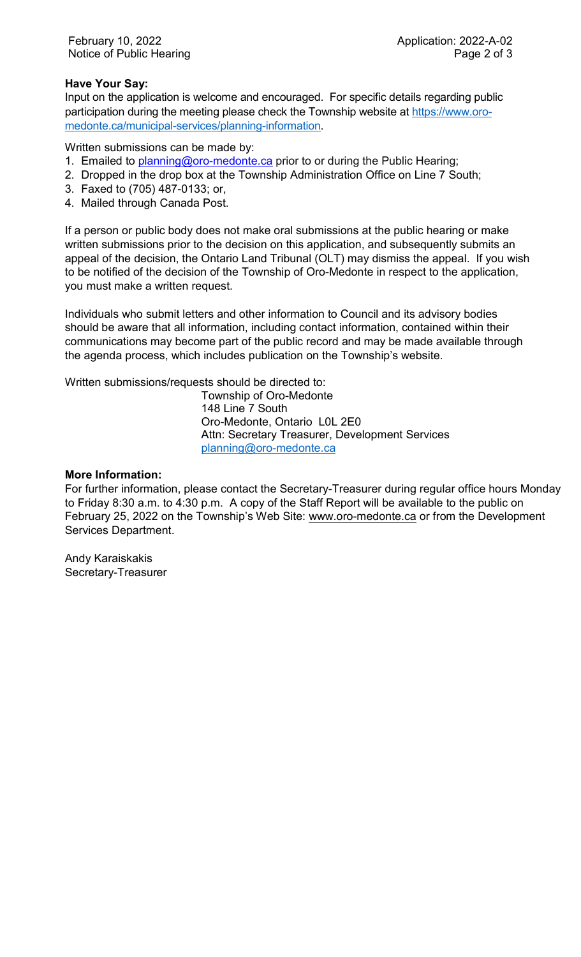### Have Your Say:

Input on the application is welcome and encouraged. For specific details regarding public participation during the meeting please check the Township website at https://www.oromedonte.ca/municipal-services/planning-information.

Written submissions can be made by:

- 1. Emailed to planning@oro-medonte.ca prior to or during the Public Hearing;
- 2. Dropped in the drop box at the Township Administration Office on Line 7 South;
- 3. Faxed to (705) 487-0133; or,
- 4. Mailed through Canada Post.

If a person or public body does not make oral submissions at the public hearing or make written submissions prior to the decision on this application, and subsequently submits an appeal of the decision, the Ontario Land Tribunal (OLT) may dismiss the appeal. If you wish to be notified of the decision of the Township of Oro-Medonte in respect to the application, you must make a written request.

Individuals who submit letters and other information to Council and its advisory bodies should be aware that all information, including contact information, contained within their communications may become part of the public record and may be made available through the agenda process, which includes publication on the Township's website.

Written submissions/requests should be directed to:

Township of Oro-Medonte 148 Line 7 South Oro-Medonte, Ontario L0L 2E0 Attn: Secretary Treasurer, Development Services planning@oro-medonte.ca

#### More Information:

For further information, please contact the Secretary-Treasurer during regular office hours Monday to Friday 8:30 a.m. to 4:30 p.m. A copy of the Staff Report will be available to the public on February 25, 2022 on the Township's Web Site: www.oro-medonte.ca or from the Development Services Department.

Andy Karaiskakis Secretary-Treasurer